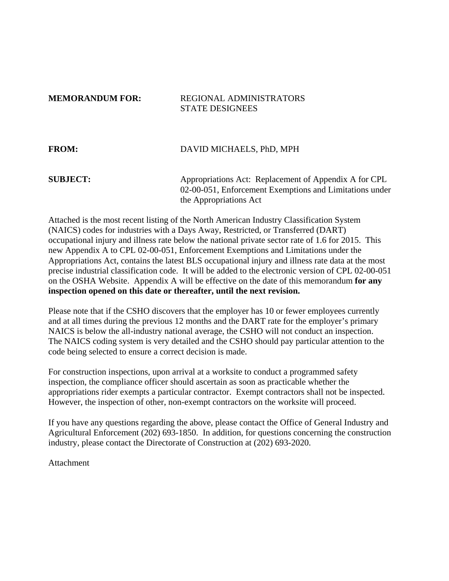## **MEMORANDUM FOR: REGIONAL ADMINISTRATORS** STATE DESIGNEES

| <b>FROM:</b>    | DAVID MICHAELS, PhD, MPH                                                                                         |
|-----------------|------------------------------------------------------------------------------------------------------------------|
| <b>SUBJECT:</b> | Appropriations Act: Replacement of Appendix A for CPL<br>02-00-051, Enforcement Exemptions and Limitations under |
|                 | the Appropriations Act                                                                                           |

Attached is the most recent listing of the North American Industry Classification System (NAICS) codes for industries with a Days Away, Restricted, or Transferred (DART) occupational injury and illness rate below the national private sector rate of 1.6 for 2015. This new Appendix A to CPL 02-00-051, Enforcement Exemptions and Limitations under the Appropriations Act, contains the latest BLS occupational injury and illness rate data at the most precise industrial classification code. It will be added to the electronic version of CPL 02-00-051 on the OSHA Website. Appendix A will be effective on the date of this memorandum **for any inspection opened on this date or thereafter, until the next revision.**

Please note that if the CSHO discovers that the employer has 10 or fewer employees currently and at all times during the previous 12 months and the DART rate for the employer's primary NAICS is below the all-industry national average, the CSHO will not conduct an inspection. The NAICS coding system is very detailed and the CSHO should pay particular attention to the code being selected to ensure a correct decision is made.

For construction inspections, upon arrival at a worksite to conduct a programmed safety inspection, the compliance officer should ascertain as soon as practicable whether the appropriations rider exempts a particular contractor. Exempt contractors shall not be inspected. However, the inspection of other, non-exempt contractors on the worksite will proceed.

If you have any questions regarding the above, please contact the Office of General Industry and Agricultural Enforcement (202) 693-1850. In addition, for questions concerning the construction industry, please contact the Directorate of Construction at (202) 693-2020.

Attachment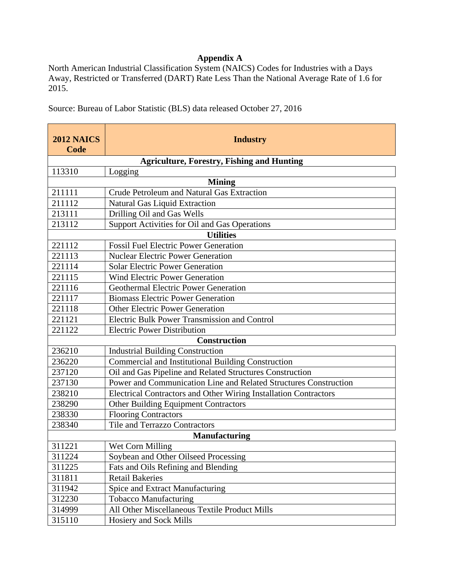## **Appendix A**

North American Industrial Classification System (NAICS) Codes for Industries with a Days Away, Restricted or Transferred (DART) Rate Less Than the National Average Rate of 1.6 for 2015.

Source: Bureau of Labor Statistic (BLS) data released October 27, 2016

| <b>2012 NAICS</b><br>Code | <b>Industry</b>                                                  |  |
|---------------------------|------------------------------------------------------------------|--|
|                           | <b>Agriculture, Forestry, Fishing and Hunting</b>                |  |
| 113310                    | Logging                                                          |  |
|                           | <b>Mining</b>                                                    |  |
| 211111                    | Crude Petroleum and Natural Gas Extraction                       |  |
| 211112                    | <b>Natural Gas Liquid Extraction</b>                             |  |
| 213111                    | Drilling Oil and Gas Wells                                       |  |
| 213112                    | Support Activities for Oil and Gas Operations                    |  |
|                           | <b>Utilities</b>                                                 |  |
| 221112                    | <b>Fossil Fuel Electric Power Generation</b>                     |  |
| 221113                    | <b>Nuclear Electric Power Generation</b>                         |  |
| 221114                    | <b>Solar Electric Power Generation</b>                           |  |
| 221115                    | <b>Wind Electric Power Generation</b>                            |  |
| 221116                    | <b>Geothermal Electric Power Generation</b>                      |  |
| 221117                    | <b>Biomass Electric Power Generation</b>                         |  |
| 221118                    | <b>Other Electric Power Generation</b>                           |  |
| 221121                    | <b>Electric Bulk Power Transmission and Control</b>              |  |
| 221122                    | <b>Electric Power Distribution</b>                               |  |
|                           | <b>Construction</b>                                              |  |
| 236210                    | <b>Industrial Building Construction</b>                          |  |
| 236220                    | Commercial and Institutional Building Construction               |  |
| 237120                    | Oil and Gas Pipeline and Related Structures Construction         |  |
| 237130                    | Power and Communication Line and Related Structures Construction |  |
| 238210                    | Electrical Contractors and Other Wiring Installation Contractors |  |
| 238290                    | <b>Other Building Equipment Contractors</b>                      |  |
| 238330                    | <b>Flooring Contractors</b>                                      |  |
| 238340                    | <b>Tile and Terrazzo Contractors</b>                             |  |
| <b>Manufacturing</b>      |                                                                  |  |
| 311221                    | Wet Corn Milling                                                 |  |
| 311224                    | Soybean and Other Oilseed Processing                             |  |
| 311225                    | Fats and Oils Refining and Blending                              |  |
| 311811                    | <b>Retail Bakeries</b>                                           |  |
| 311942                    | Spice and Extract Manufacturing                                  |  |
| 312230                    | <b>Tobacco Manufacturing</b>                                     |  |
| 314999                    | All Other Miscellaneous Textile Product Mills                    |  |
| 315110                    | Hosiery and Sock Mills                                           |  |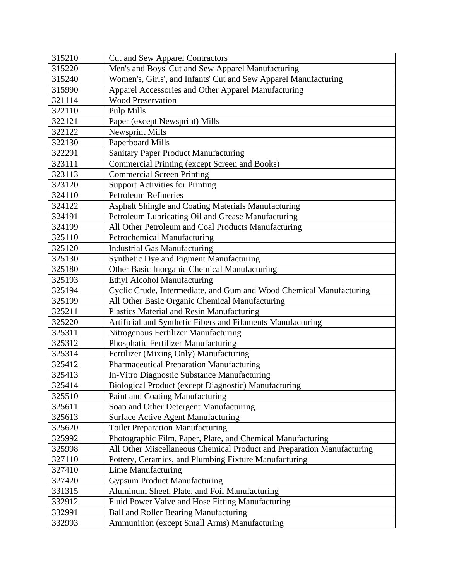| 315210 | <b>Cut and Sew Apparel Contractors</b>                                 |
|--------|------------------------------------------------------------------------|
| 315220 | Men's and Boys' Cut and Sew Apparel Manufacturing                      |
| 315240 | Women's, Girls', and Infants' Cut and Sew Apparel Manufacturing        |
| 315990 | Apparel Accessories and Other Apparel Manufacturing                    |
| 321114 | <b>Wood Preservation</b>                                               |
| 322110 | Pulp Mills                                                             |
| 322121 | Paper (except Newsprint) Mills                                         |
| 322122 | <b>Newsprint Mills</b>                                                 |
| 322130 | Paperboard Mills                                                       |
| 322291 | <b>Sanitary Paper Product Manufacturing</b>                            |
| 323111 | Commercial Printing (except Screen and Books)                          |
| 323113 | <b>Commercial Screen Printing</b>                                      |
| 323120 | <b>Support Activities for Printing</b>                                 |
| 324110 | <b>Petroleum Refineries</b>                                            |
| 324122 | Asphalt Shingle and Coating Materials Manufacturing                    |
| 324191 | Petroleum Lubricating Oil and Grease Manufacturing                     |
| 324199 | All Other Petroleum and Coal Products Manufacturing                    |
| 325110 | Petrochemical Manufacturing                                            |
| 325120 | <b>Industrial Gas Manufacturing</b>                                    |
| 325130 | Synthetic Dye and Pigment Manufacturing                                |
| 325180 | Other Basic Inorganic Chemical Manufacturing                           |
| 325193 | Ethyl Alcohol Manufacturing                                            |
| 325194 | Cyclic Crude, Intermediate, and Gum and Wood Chemical Manufacturing    |
| 325199 | All Other Basic Organic Chemical Manufacturing                         |
| 325211 | Plastics Material and Resin Manufacturing                              |
| 325220 | Artificial and Synthetic Fibers and Filaments Manufacturing            |
| 325311 | Nitrogenous Fertilizer Manufacturing                                   |
| 325312 | Phosphatic Fertilizer Manufacturing                                    |
| 325314 | Fertilizer (Mixing Only) Manufacturing                                 |
| 325412 | Pharmaceutical Preparation Manufacturing                               |
| 325413 | In-Vitro Diagnostic Substance Manufacturing                            |
| 325414 | Biological Product (except Diagnostic) Manufacturing                   |
| 325510 | Paint and Coating Manufacturing                                        |
| 325611 | Soap and Other Detergent Manufacturing                                 |
| 325613 | Surface Active Agent Manufacturing                                     |
| 325620 | <b>Toilet Preparation Manufacturing</b>                                |
| 325992 | Photographic Film, Paper, Plate, and Chemical Manufacturing            |
| 325998 | All Other Miscellaneous Chemical Product and Preparation Manufacturing |
| 327110 | Pottery, Ceramics, and Plumbing Fixture Manufacturing                  |
| 327410 | Lime Manufacturing                                                     |
| 327420 | <b>Gypsum Product Manufacturing</b>                                    |
| 331315 | Aluminum Sheet, Plate, and Foil Manufacturing                          |
| 332912 | Fluid Power Valve and Hose Fitting Manufacturing                       |
| 332991 | <b>Ball and Roller Bearing Manufacturing</b>                           |
| 332993 | Ammunition (except Small Arms) Manufacturing                           |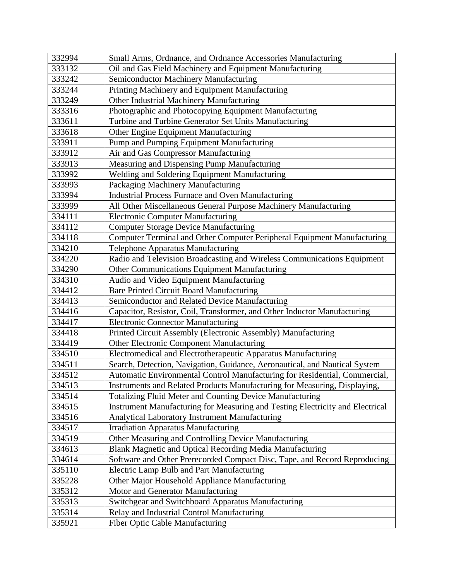| 332994 | Small Arms, Ordnance, and Ordnance Accessories Manufacturing                  |
|--------|-------------------------------------------------------------------------------|
| 333132 | Oil and Gas Field Machinery and Equipment Manufacturing                       |
| 333242 | Semiconductor Machinery Manufacturing                                         |
| 333244 | Printing Machinery and Equipment Manufacturing                                |
| 333249 | Other Industrial Machinery Manufacturing                                      |
| 333316 | Photographic and Photocopying Equipment Manufacturing                         |
| 333611 | Turbine and Turbine Generator Set Units Manufacturing                         |
| 333618 | Other Engine Equipment Manufacturing                                          |
| 333911 | Pump and Pumping Equipment Manufacturing                                      |
| 333912 | Air and Gas Compressor Manufacturing                                          |
| 333913 | Measuring and Dispensing Pump Manufacturing                                   |
| 333992 | Welding and Soldering Equipment Manufacturing                                 |
| 333993 | Packaging Machinery Manufacturing                                             |
| 333994 | <b>Industrial Process Furnace and Oven Manufacturing</b>                      |
| 333999 | All Other Miscellaneous General Purpose Machinery Manufacturing               |
| 334111 | <b>Electronic Computer Manufacturing</b>                                      |
| 334112 | <b>Computer Storage Device Manufacturing</b>                                  |
| 334118 | Computer Terminal and Other Computer Peripheral Equipment Manufacturing       |
| 334210 | <b>Telephone Apparatus Manufacturing</b>                                      |
| 334220 | Radio and Television Broadcasting and Wireless Communications Equipment       |
| 334290 | Other Communications Equipment Manufacturing                                  |
| 334310 | Audio and Video Equipment Manufacturing                                       |
| 334412 | <b>Bare Printed Circuit Board Manufacturing</b>                               |
| 334413 | Semiconductor and Related Device Manufacturing                                |
| 334416 | Capacitor, Resistor, Coil, Transformer, and Other Inductor Manufacturing      |
| 334417 | <b>Electronic Connector Manufacturing</b>                                     |
| 334418 | Printed Circuit Assembly (Electronic Assembly) Manufacturing                  |
| 334419 | Other Electronic Component Manufacturing                                      |
| 334510 | Electromedical and Electrotherapeutic Apparatus Manufacturing                 |
| 334511 | Search, Detection, Navigation, Guidance, Aeronautical, and Nautical System    |
| 334512 | Automatic Environmental Control Manufacturing for Residential, Commercial,    |
| 334513 | Instruments and Related Products Manufacturing for Measuring, Displaying,     |
| 334514 | Totalizing Fluid Meter and Counting Device Manufacturing                      |
| 334515 | Instrument Manufacturing for Measuring and Testing Electricity and Electrical |
| 334516 | Analytical Laboratory Instrument Manufacturing                                |
| 334517 | <b>Irradiation Apparatus Manufacturing</b>                                    |
| 334519 | Other Measuring and Controlling Device Manufacturing                          |
| 334613 | Blank Magnetic and Optical Recording Media Manufacturing                      |
| 334614 | Software and Other Prerecorded Compact Disc, Tape, and Record Reproducing     |
| 335110 | Electric Lamp Bulb and Part Manufacturing                                     |
| 335228 | Other Major Household Appliance Manufacturing                                 |
| 335312 | Motor and Generator Manufacturing                                             |
| 335313 | Switchgear and Switchboard Apparatus Manufacturing                            |
| 335314 | Relay and Industrial Control Manufacturing                                    |
| 335921 | Fiber Optic Cable Manufacturing                                               |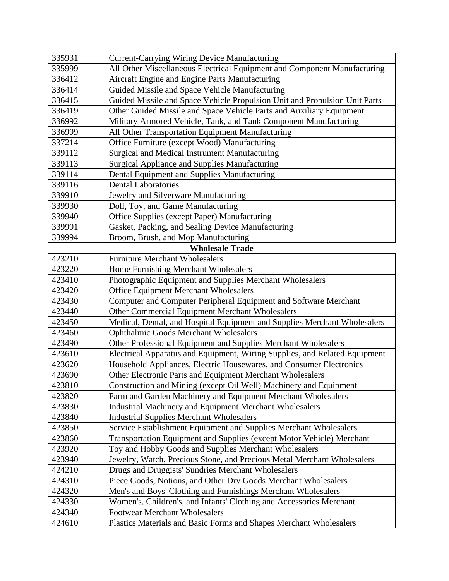| 335931 | <b>Current-Carrying Wiring Device Manufacturing</b>                        |
|--------|----------------------------------------------------------------------------|
| 335999 | All Other Miscellaneous Electrical Equipment and Component Manufacturing   |
| 336412 | Aircraft Engine and Engine Parts Manufacturing                             |
| 336414 | Guided Missile and Space Vehicle Manufacturing                             |
| 336415 | Guided Missile and Space Vehicle Propulsion Unit and Propulsion Unit Parts |
| 336419 | Other Guided Missile and Space Vehicle Parts and Auxiliary Equipment       |
| 336992 | Military Armored Vehicle, Tank, and Tank Component Manufacturing           |
| 336999 | All Other Transportation Equipment Manufacturing                           |
| 337214 | Office Furniture (except Wood) Manufacturing                               |
| 339112 | Surgical and Medical Instrument Manufacturing                              |
| 339113 | <b>Surgical Appliance and Supplies Manufacturing</b>                       |
| 339114 | Dental Equipment and Supplies Manufacturing                                |
| 339116 | <b>Dental Laboratories</b>                                                 |
| 339910 | Jewelry and Silverware Manufacturing                                       |
| 339930 | Doll, Toy, and Game Manufacturing                                          |
| 339940 | Office Supplies (except Paper) Manufacturing                               |
| 339991 | Gasket, Packing, and Sealing Device Manufacturing                          |
| 339994 | Broom, Brush, and Mop Manufacturing                                        |
|        | <b>Wholesale Trade</b>                                                     |
| 423210 | <b>Furniture Merchant Wholesalers</b>                                      |
| 423220 | Home Furnishing Merchant Wholesalers                                       |
| 423410 | Photographic Equipment and Supplies Merchant Wholesalers                   |
| 423420 | <b>Office Equipment Merchant Wholesalers</b>                               |
| 423430 | Computer and Computer Peripheral Equipment and Software Merchant           |
| 423440 | Other Commercial Equipment Merchant Wholesalers                            |
| 423450 | Medical, Dental, and Hospital Equipment and Supplies Merchant Wholesalers  |
| 423460 | <b>Ophthalmic Goods Merchant Wholesalers</b>                               |
| 423490 | Other Professional Equipment and Supplies Merchant Wholesalers             |
| 423610 | Electrical Apparatus and Equipment, Wiring Supplies, and Related Equipment |
| 423620 | Household Appliances, Electric Housewares, and Consumer Electronics        |
| 423690 | Other Electronic Parts and Equipment Merchant Wholesalers                  |
| 423810 | Construction and Mining (except Oil Well) Machinery and Equipment          |
| 423820 | Farm and Garden Machinery and Equipment Merchant Wholesalers               |
| 423830 | <b>Industrial Machinery and Equipment Merchant Wholesalers</b>             |
| 423840 | <b>Industrial Supplies Merchant Wholesalers</b>                            |
| 423850 | Service Establishment Equipment and Supplies Merchant Wholesalers          |
| 423860 | Transportation Equipment and Supplies (except Motor Vehicle) Merchant      |
| 423920 | Toy and Hobby Goods and Supplies Merchant Wholesalers                      |
| 423940 | Jewelry, Watch, Precious Stone, and Precious Metal Merchant Wholesalers    |
| 424210 | Drugs and Druggists' Sundries Merchant Wholesalers                         |
| 424310 | Piece Goods, Notions, and Other Dry Goods Merchant Wholesalers             |
| 424320 | Men's and Boys' Clothing and Furnishings Merchant Wholesalers              |
| 424330 | Women's, Children's, and Infants' Clothing and Accessories Merchant        |
| 424340 | <b>Footwear Merchant Wholesalers</b>                                       |
| 424610 | Plastics Materials and Basic Forms and Shapes Merchant Wholesalers         |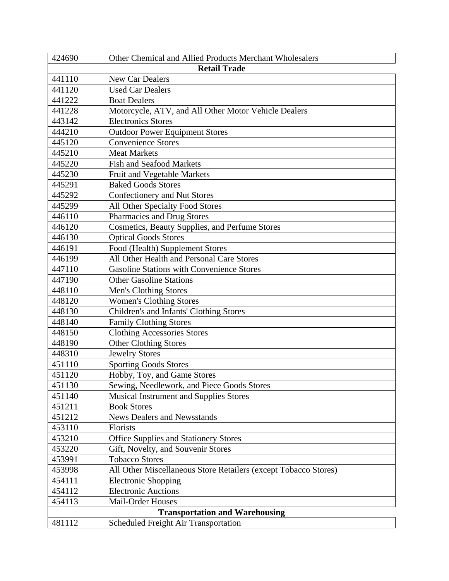| 424690                                | Other Chemical and Allied Products Merchant Wholesalers         |  |  |
|---------------------------------------|-----------------------------------------------------------------|--|--|
|                                       | <b>Retail Trade</b>                                             |  |  |
| 441110                                | New Car Dealers                                                 |  |  |
| 441120                                | <b>Used Car Dealers</b>                                         |  |  |
| 441222                                | <b>Boat Dealers</b>                                             |  |  |
| 441228                                | Motorcycle, ATV, and All Other Motor Vehicle Dealers            |  |  |
| 443142                                | <b>Electronics Stores</b>                                       |  |  |
| 444210                                | <b>Outdoor Power Equipment Stores</b>                           |  |  |
| 445120                                | <b>Convenience Stores</b>                                       |  |  |
| 445210                                | <b>Meat Markets</b>                                             |  |  |
| 445220                                | <b>Fish and Seafood Markets</b>                                 |  |  |
| 445230                                | Fruit and Vegetable Markets                                     |  |  |
| 445291                                | <b>Baked Goods Stores</b>                                       |  |  |
| 445292                                | Confectionery and Nut Stores                                    |  |  |
| 445299                                | All Other Specialty Food Stores                                 |  |  |
| 446110                                | <b>Pharmacies and Drug Stores</b>                               |  |  |
| 446120                                | Cosmetics, Beauty Supplies, and Perfume Stores                  |  |  |
| 446130                                | <b>Optical Goods Stores</b>                                     |  |  |
| 446191                                | Food (Health) Supplement Stores                                 |  |  |
| 446199                                | All Other Health and Personal Care Stores                       |  |  |
| 447110                                | <b>Gasoline Stations with Convenience Stores</b>                |  |  |
| 447190                                | <b>Other Gasoline Stations</b>                                  |  |  |
| 448110                                | Men's Clothing Stores                                           |  |  |
| 448120                                | <b>Women's Clothing Stores</b>                                  |  |  |
| 448130                                | Children's and Infants' Clothing Stores                         |  |  |
| 448140                                | <b>Family Clothing Stores</b>                                   |  |  |
| 448150                                | <b>Clothing Accessories Stores</b>                              |  |  |
| 448190                                | <b>Other Clothing Stores</b>                                    |  |  |
| 448310                                | <b>Jewelry Stores</b>                                           |  |  |
| 451110                                | <b>Sporting Goods Stores</b>                                    |  |  |
| 451120                                | Hobby, Toy, and Game Stores                                     |  |  |
| 451130                                | Sewing, Needlework, and Piece Goods Stores                      |  |  |
| 451140                                | <b>Musical Instrument and Supplies Stores</b>                   |  |  |
| 451211                                | <b>Book Stores</b>                                              |  |  |
| 451212                                | <b>News Dealers and Newsstands</b>                              |  |  |
| 453110                                | Florists                                                        |  |  |
| 453210                                | <b>Office Supplies and Stationery Stores</b>                    |  |  |
| 453220                                | Gift, Novelty, and Souvenir Stores                              |  |  |
| 453991                                | <b>Tobacco Stores</b>                                           |  |  |
| 453998                                | All Other Miscellaneous Store Retailers (except Tobacco Stores) |  |  |
| 454111                                | Electronic Shopping                                             |  |  |
| 454112                                | <b>Electronic Auctions</b>                                      |  |  |
| 454113                                | <b>Mail-Order Houses</b>                                        |  |  |
| <b>Transportation and Warehousing</b> |                                                                 |  |  |
| 481112                                | Scheduled Freight Air Transportation                            |  |  |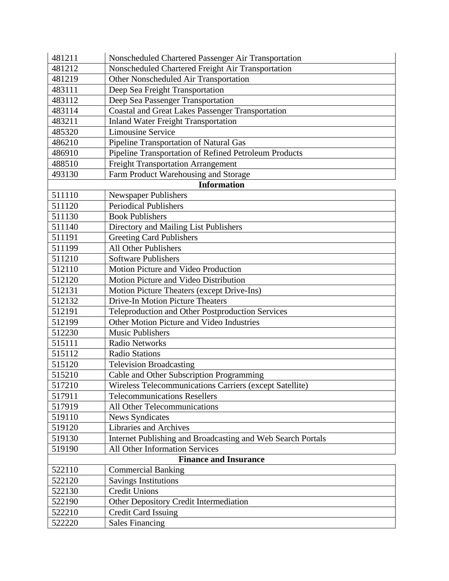| 481211                       | Nonscheduled Chartered Passenger Air Transportation         |  |
|------------------------------|-------------------------------------------------------------|--|
| 481212                       | Nonscheduled Chartered Freight Air Transportation           |  |
| 481219                       | Other Nonscheduled Air Transportation                       |  |
| 483111                       | Deep Sea Freight Transportation                             |  |
| 483112                       | Deep Sea Passenger Transportation                           |  |
| 483114                       | <b>Coastal and Great Lakes Passenger Transportation</b>     |  |
| 483211                       | <b>Inland Water Freight Transportation</b>                  |  |
| 485320                       | <b>Limousine Service</b>                                    |  |
| 486210                       | Pipeline Transportation of Natural Gas                      |  |
| 486910                       | Pipeline Transportation of Refined Petroleum Products       |  |
| 488510                       | <b>Freight Transportation Arrangement</b>                   |  |
| 493130                       | Farm Product Warehousing and Storage                        |  |
|                              | <b>Information</b>                                          |  |
| 511110                       | <b>Newspaper Publishers</b>                                 |  |
| 511120                       | <b>Periodical Publishers</b>                                |  |
| 511130                       | <b>Book Publishers</b>                                      |  |
| 511140                       | Directory and Mailing List Publishers                       |  |
| 511191                       | <b>Greeting Card Publishers</b>                             |  |
| 511199                       | <b>All Other Publishers</b>                                 |  |
| 511210                       | Software Publishers                                         |  |
| 512110                       | Motion Picture and Video Production                         |  |
| 512120                       | Motion Picture and Video Distribution                       |  |
| 512131                       | Motion Picture Theaters (except Drive-Ins)                  |  |
| 512132                       | <b>Drive-In Motion Picture Theaters</b>                     |  |
| 512191                       | Teleproduction and Other Postproduction Services            |  |
| 512199                       | Other Motion Picture and Video Industries                   |  |
| 512230                       | <b>Music Publishers</b>                                     |  |
| 515111                       | <b>Radio Networks</b>                                       |  |
| 515112                       | <b>Radio Stations</b>                                       |  |
| 515120                       | <b>Television Broadcasting</b>                              |  |
| 515210                       | Cable and Other Subscription Programming                    |  |
| 517210                       | Wireless Telecommunications Carriers (except Satellite)     |  |
| 517911                       | <b>Telecommunications Resellers</b>                         |  |
| 517919                       | All Other Telecommunications                                |  |
| 519110                       | <b>News Syndicates</b>                                      |  |
| 519120                       | Libraries and Archives                                      |  |
| 519130                       | Internet Publishing and Broadcasting and Web Search Portals |  |
| 519190                       | All Other Information Services                              |  |
| <b>Finance and Insurance</b> |                                                             |  |
| 522110                       | <b>Commercial Banking</b>                                   |  |
| 522120                       | <b>Savings Institutions</b>                                 |  |
| 522130                       | <b>Credit Unions</b>                                        |  |
| 522190                       | Other Depository Credit Intermediation                      |  |
| 522210                       | <b>Credit Card Issuing</b>                                  |  |
| 522220                       | <b>Sales Financing</b>                                      |  |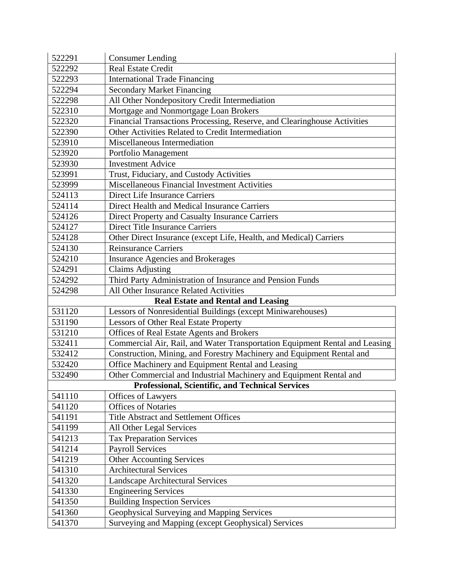| 522291 | <b>Consumer Lending</b>                                                     |
|--------|-----------------------------------------------------------------------------|
| 522292 | <b>Real Estate Credit</b>                                                   |
| 522293 | <b>International Trade Financing</b>                                        |
| 522294 | <b>Secondary Market Financing</b>                                           |
| 522298 | All Other Nondepository Credit Intermediation                               |
| 522310 | Mortgage and Nonmortgage Loan Brokers                                       |
| 522320 | Financial Transactions Processing, Reserve, and Clearinghouse Activities    |
| 522390 | Other Activities Related to Credit Intermediation                           |
| 523910 | Miscellaneous Intermediation                                                |
| 523920 | Portfolio Management                                                        |
| 523930 | <b>Investment Advice</b>                                                    |
| 523991 | Trust, Fiduciary, and Custody Activities                                    |
| 523999 | Miscellaneous Financial Investment Activities                               |
| 524113 | <b>Direct Life Insurance Carriers</b>                                       |
| 524114 | Direct Health and Medical Insurance Carriers                                |
| 524126 | Direct Property and Casualty Insurance Carriers                             |
| 524127 | <b>Direct Title Insurance Carriers</b>                                      |
| 524128 | Other Direct Insurance (except Life, Health, and Medical) Carriers          |
| 524130 | <b>Reinsurance Carriers</b>                                                 |
| 524210 | <b>Insurance Agencies and Brokerages</b>                                    |
| 524291 | <b>Claims Adjusting</b>                                                     |
| 524292 | Third Party Administration of Insurance and Pension Funds                   |
| 524298 | All Other Insurance Related Activities                                      |
|        | <b>Real Estate and Rental and Leasing</b>                                   |
| 531120 | Lessors of Nonresidential Buildings (except Miniwarehouses)                 |
| 531190 | <b>Lessors of Other Real Estate Property</b>                                |
| 531210 | Offices of Real Estate Agents and Brokers                                   |
| 532411 | Commercial Air, Rail, and Water Transportation Equipment Rental and Leasing |
| 532412 | Construction, Mining, and Forestry Machinery and Equipment Rental and       |
| 532420 | Office Machinery and Equipment Rental and Leasing                           |
| 532490 | Other Commercial and Industrial Machinery and Equipment Rental and          |
|        | <b>Professional, Scientific, and Technical Services</b>                     |
| 541110 | Offices of Lawyers                                                          |
| 541120 | <b>Offices of Notaries</b>                                                  |
| 541191 |                                                                             |
|        | <b>Title Abstract and Settlement Offices</b>                                |
| 541199 | All Other Legal Services                                                    |
| 541213 | <b>Tax Preparation Services</b>                                             |
| 541214 | <b>Payroll Services</b>                                                     |
| 541219 | <b>Other Accounting Services</b>                                            |
| 541310 | <b>Architectural Services</b>                                               |
| 541320 | <b>Landscape Architectural Services</b>                                     |
| 541330 | <b>Engineering Services</b>                                                 |
| 541350 | <b>Building Inspection Services</b>                                         |
| 541360 | Geophysical Surveying and Mapping Services                                  |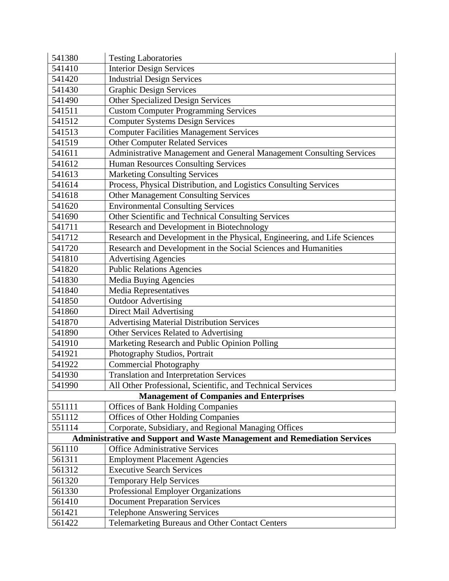| 541380                                                                          | <b>Testing Laboratories</b>                                              |  |
|---------------------------------------------------------------------------------|--------------------------------------------------------------------------|--|
| 541410                                                                          | <b>Interior Design Services</b>                                          |  |
| 541420                                                                          | <b>Industrial Design Services</b>                                        |  |
| 541430                                                                          | <b>Graphic Design Services</b>                                           |  |
| 541490                                                                          | <b>Other Specialized Design Services</b>                                 |  |
| 541511                                                                          | <b>Custom Computer Programming Services</b>                              |  |
| 541512                                                                          | <b>Computer Systems Design Services</b>                                  |  |
| 541513                                                                          | <b>Computer Facilities Management Services</b>                           |  |
| 541519                                                                          | <b>Other Computer Related Services</b>                                   |  |
| 541611                                                                          | Administrative Management and General Management Consulting Services     |  |
| 541612                                                                          | <b>Human Resources Consulting Services</b>                               |  |
| 541613                                                                          | <b>Marketing Consulting Services</b>                                     |  |
| 541614                                                                          | Process, Physical Distribution, and Logistics Consulting Services        |  |
| 541618                                                                          | <b>Other Management Consulting Services</b>                              |  |
| 541620                                                                          | <b>Environmental Consulting Services</b>                                 |  |
| 541690                                                                          | Other Scientific and Technical Consulting Services                       |  |
| 541711                                                                          | Research and Development in Biotechnology                                |  |
| 541712                                                                          | Research and Development in the Physical, Engineering, and Life Sciences |  |
| 541720                                                                          | Research and Development in the Social Sciences and Humanities           |  |
| 541810                                                                          | <b>Advertising Agencies</b>                                              |  |
| 541820                                                                          | <b>Public Relations Agencies</b>                                         |  |
| 541830                                                                          | Media Buying Agencies                                                    |  |
| 541840                                                                          | Media Representatives                                                    |  |
| 541850                                                                          | <b>Outdoor Advertising</b>                                               |  |
| 541860                                                                          | <b>Direct Mail Advertising</b>                                           |  |
| 541870                                                                          | <b>Advertising Material Distribution Services</b>                        |  |
| 541890                                                                          | Other Services Related to Advertising                                    |  |
| 541910                                                                          | Marketing Research and Public Opinion Polling                            |  |
| 541921                                                                          | Photography Studios, Portrait                                            |  |
| 541922                                                                          | <b>Commercial Photography</b>                                            |  |
| 541930                                                                          | <b>Translation and Interpretation Services</b>                           |  |
| 541990                                                                          | All Other Professional, Scientific, and Technical Services               |  |
| <b>Management of Companies and Enterprises</b>                                  |                                                                          |  |
| 551111                                                                          | <b>Offices of Bank Holding Companies</b>                                 |  |
| 551112                                                                          | <b>Offices of Other Holding Companies</b>                                |  |
| 551114                                                                          | Corporate, Subsidiary, and Regional Managing Offices                     |  |
| <b>Administrative and Support and Waste Management and Remediation Services</b> |                                                                          |  |
| 561110                                                                          | <b>Office Administrative Services</b>                                    |  |
| 561311                                                                          | <b>Employment Placement Agencies</b>                                     |  |
| 561312                                                                          | <b>Executive Search Services</b>                                         |  |
| 561320                                                                          | <b>Temporary Help Services</b>                                           |  |
| 561330                                                                          | Professional Employer Organizations                                      |  |
| 561410                                                                          | <b>Document Preparation Services</b>                                     |  |
| 561421                                                                          | <b>Telephone Answering Services</b>                                      |  |
| 561422                                                                          | Telemarketing Bureaus and Other Contact Centers                          |  |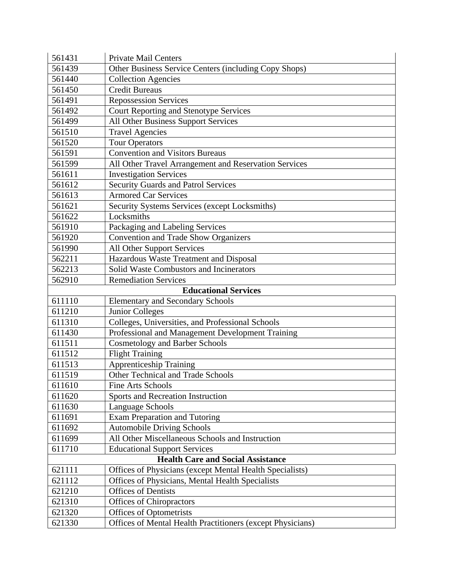| 561431 | <b>Private Mail Centers</b>                                |  |
|--------|------------------------------------------------------------|--|
| 561439 | Other Business Service Centers (including Copy Shops)      |  |
| 561440 | <b>Collection Agencies</b>                                 |  |
| 561450 | <b>Credit Bureaus</b>                                      |  |
| 561491 | Repossession Services                                      |  |
| 561492 | <b>Court Reporting and Stenotype Services</b>              |  |
| 561499 | <b>All Other Business Support Services</b>                 |  |
| 561510 | <b>Travel Agencies</b>                                     |  |
| 561520 | <b>Tour Operators</b>                                      |  |
| 561591 | <b>Convention and Visitors Bureaus</b>                     |  |
| 561599 | All Other Travel Arrangement and Reservation Services      |  |
| 561611 | <b>Investigation Services</b>                              |  |
| 561612 | <b>Security Guards and Patrol Services</b>                 |  |
| 561613 | <b>Armored Car Services</b>                                |  |
| 561621 | Security Systems Services (except Locksmiths)              |  |
| 561622 | Locksmiths                                                 |  |
| 561910 | Packaging and Labeling Services                            |  |
| 561920 | <b>Convention and Trade Show Organizers</b>                |  |
| 561990 | <b>All Other Support Services</b>                          |  |
| 562211 | Hazardous Waste Treatment and Disposal                     |  |
| 562213 | Solid Waste Combustors and Incinerators                    |  |
| 562910 | <b>Remediation Services</b>                                |  |
|        | <b>Educational Services</b>                                |  |
| 611110 | <b>Elementary and Secondary Schools</b>                    |  |
| 611210 | <b>Junior Colleges</b>                                     |  |
| 611310 | Colleges, Universities, and Professional Schools           |  |
| 611430 | Professional and Management Development Training           |  |
| 611511 | <b>Cosmetology and Barber Schools</b>                      |  |
| 611512 | <b>Flight Training</b>                                     |  |
| 611513 | <b>Apprenticeship Training</b>                             |  |
| 611519 | Other Technical and Trade Schools                          |  |
| 611610 | <b>Fine Arts Schools</b>                                   |  |
| 611620 | Sports and Recreation Instruction                          |  |
| 611630 | Language Schools                                           |  |
| 611691 | <b>Exam Preparation and Tutoring</b>                       |  |
| 611692 | <b>Automobile Driving Schools</b>                          |  |
| 611699 | All Other Miscellaneous Schools and Instruction            |  |
| 611710 | <b>Educational Support Services</b>                        |  |
|        | <b>Health Care and Social Assistance</b>                   |  |
| 621111 | Offices of Physicians (except Mental Health Specialists)   |  |
| 621112 | Offices of Physicians, Mental Health Specialists           |  |
| 621210 | <b>Offices of Dentists</b>                                 |  |
| 621310 | <b>Offices of Chiropractors</b>                            |  |
| 621320 | <b>Offices of Optometrists</b>                             |  |
| 621330 | Offices of Mental Health Practitioners (except Physicians) |  |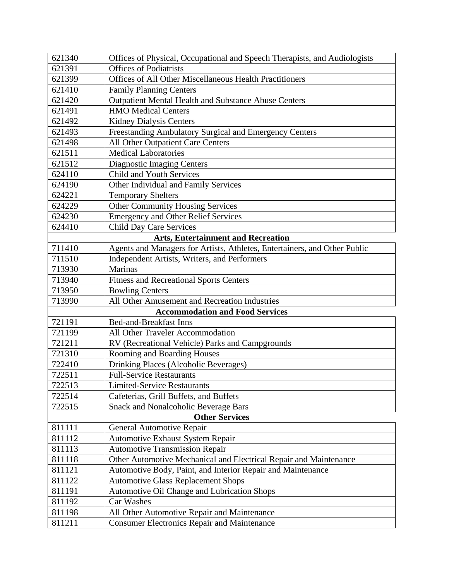| 621340 | Offices of Physical, Occupational and Speech Therapists, and Audiologists |
|--------|---------------------------------------------------------------------------|
| 621391 | <b>Offices of Podiatrists</b>                                             |
| 621399 | <b>Offices of All Other Miscellaneous Health Practitioners</b>            |
| 621410 | <b>Family Planning Centers</b>                                            |
| 621420 | <b>Outpatient Mental Health and Substance Abuse Centers</b>               |
| 621491 | <b>HMO</b> Medical Centers                                                |
| 621492 | <b>Kidney Dialysis Centers</b>                                            |
| 621493 | Freestanding Ambulatory Surgical and Emergency Centers                    |
| 621498 | All Other Outpatient Care Centers                                         |
| 621511 | <b>Medical Laboratories</b>                                               |
| 621512 | <b>Diagnostic Imaging Centers</b>                                         |
| 624110 | <b>Child and Youth Services</b>                                           |
| 624190 | Other Individual and Family Services                                      |
| 624221 | <b>Temporary Shelters</b>                                                 |
| 624229 | <b>Other Community Housing Services</b>                                   |
| 624230 | <b>Emergency and Other Relief Services</b>                                |
| 624410 | <b>Child Day Care Services</b>                                            |
|        | <b>Arts, Entertainment and Recreation</b>                                 |
| 711410 | Agents and Managers for Artists, Athletes, Entertainers, and Other Public |
| 711510 | Independent Artists, Writers, and Performers                              |
| 713930 | <b>Marinas</b>                                                            |
| 713940 | <b>Fitness and Recreational Sports Centers</b>                            |
| 713950 | <b>Bowling Centers</b>                                                    |
| 713990 | All Other Amusement and Recreation Industries                             |
|        | <b>Accommodation and Food Services</b>                                    |
| 721191 | <b>Bed-and-Breakfast Inns</b>                                             |
| 721199 | All Other Traveler Accommodation                                          |
| 721211 | RV (Recreational Vehicle) Parks and Campgrounds                           |
| 721310 | Rooming and Boarding Houses                                               |
| 722410 | Drinking Places (Alcoholic Beverages)                                     |
| 722511 | <b>Full-Service Restaurants</b>                                           |
| 722513 | <b>Limited-Service Restaurants</b>                                        |
| 722514 | Cafeterias, Grill Buffets, and Buffets                                    |
| 722515 | <b>Snack and Nonalcoholic Beverage Bars</b>                               |
|        | <b>Other Services</b>                                                     |
| 811111 | <b>General Automotive Repair</b>                                          |
| 811112 | <b>Automotive Exhaust System Repair</b>                                   |
| 811113 | <b>Automotive Transmission Repair</b>                                     |
| 811118 | Other Automotive Mechanical and Electrical Repair and Maintenance         |
| 811121 | Automotive Body, Paint, and Interior Repair and Maintenance               |
| 811122 | <b>Automotive Glass Replacement Shops</b>                                 |
| 811191 | Automotive Oil Change and Lubrication Shops                               |
| 811192 | Car Washes                                                                |
| 811198 | All Other Automotive Repair and Maintenance                               |
| 811211 | <b>Consumer Electronics Repair and Maintenance</b>                        |